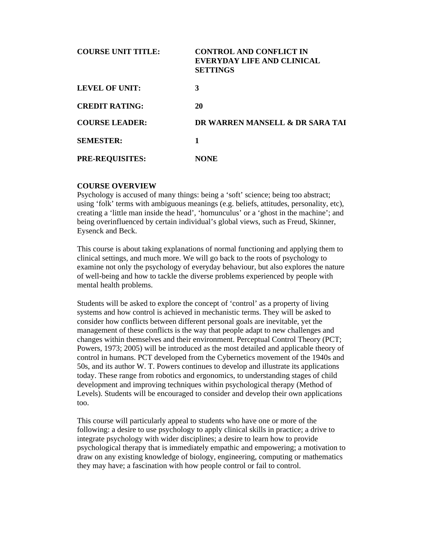| <b>COURSE UNIT TITLE:</b> | <b>CONTROL AND CONFLICT IN</b><br>EVERYDAY LIFE AND CLINICAL<br><b>SETTINGS</b> |
|---------------------------|---------------------------------------------------------------------------------|
| LEVEL OF UNIT:            | 3                                                                               |
| <b>CREDIT RATING:</b>     | 20                                                                              |
| <b>COURSE LEADER:</b>     | DR WARREN MANSELL & DR SARA TAI                                                 |
| <b>SEMESTER:</b>          | 1                                                                               |
| <b>PRE-REQUISITES:</b>    | <b>NONE</b>                                                                     |

### **COURSE OVERVIEW**

Psychology is accused of many things: being a 'soft' science; being too abstract; using 'folk' terms with ambiguous meanings (e.g. beliefs, attitudes, personality, etc), creating a 'little man inside the head', 'homunculus' or a 'ghost in the machine'; and being overinfluenced by certain individual's global views, such as Freud, Skinner, Eysenck and Beck.

This course is about taking explanations of normal functioning and applying them to clinical settings, and much more. We will go back to the roots of psychology to examine not only the psychology of everyday behaviour, but also explores the nature of well-being and how to tackle the diverse problems experienced by people with mental health problems.

Students will be asked to explore the concept of 'control' as a property of living systems and how control is achieved in mechanistic terms. They will be asked to consider how conflicts between different personal goals are inevitable, yet the management of these conflicts is the way that people adapt to new challenges and changes within themselves and their environment. Perceptual Control Theory (PCT; Powers, 1973; 2005) will be introduced as the most detailed and applicable theory of control in humans. PCT developed from the Cybernetics movement of the 1940s and 50s, and its author W. T. Powers continues to develop and illustrate its applications today. These range from robotics and ergonomics, to understanding stages of child development and improving techniques within psychological therapy (Method of Levels). Students will be encouraged to consider and develop their own applications too.

This course will particularly appeal to students who have one or more of the following: a desire to use psychology to apply clinical skills in practice; a drive to integrate psychology with wider disciplines; a desire to learn how to provide psychological therapy that is immediately empathic and empowering; a motivation to draw on any existing knowledge of biology, engineering, computing or mathematics they may have; a fascination with how people control or fail to control.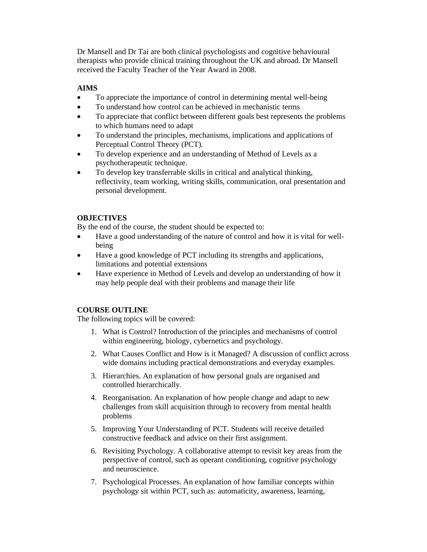Dr Mansell and Dr Tai are both clinical psychologists and cognitive behavioural therapists who provide clinical training throughout the UK and abroad. Dr Mansell received the Faculty Teacher of the Year Award in 2008.

# **AIMS**

- To appreciate the importance of control in determining mental well-being
- To understand how control can be achieved in mechanistic terms
- To appreciate that conflict between different goals best represents the problems to which humans need to adapt
- To understand the principles, mechanisms, implications and applications of Perceptual Control Theory (PCT).
- To develop experience and an understanding of Method of Levels as a psychotherapeutic technique.
- To develop key transferrable skills in critical and analytical thinking, reflectivity, team working, writing skills, communication, oral presentation and personal development.

## **OBJECTIVES**

By the end of the course, the student should be expected to:

- Have a good understanding of the nature of control and how it is vital for wellbeing
- Have a good knowledge of PCT including its strengths and applications, limitations and potential extensions
- Have experience in Method of Levels and develop an understanding of how it may help people deal with their problems and manage their life

## **COURSE OUTLINE**

The following topics will be covered:

- 1. What is Control? Introduction of the principles and mechanisms of control within engineering, biology, cybernetics and psychology.
- 2. What Causes Conflict and How is it Managed? A discussion of conflict across wide domains including practical demonstrations and everyday examples.
- 3. Hierarchies. An explanation of how personal goals are organised and controlled hierarchically.
- 4. Reorganisation. An explanation of how people change and adapt to new challenges from skill acquisition through to recovery from mental health problems
- 5. Improving Your Understanding of PCT. Students will receive detailed constructive feedback and advice on their first assignment.
- 6. Revisiting Psychology. A collaborative attempt to revisit key areas from the perspective of control, such as operant conditioning, cognitive psychology and neuroscience.
- 7. Psychological Processes. An explanation of how familiar concepts within psychology sit within PCT, such as: automaticity, awareness, learning,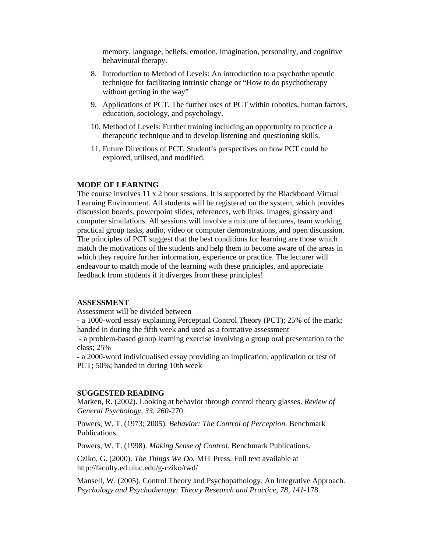memory, language, beliefs, emotion, imagination, personality, and cognitive behavioural therapy.

- 8. Introduction to Method of Levels: An introduction to a psychotherapeutic technique for facilitating intrinsic change or "How to do psychotherapy without getting in the way"
- 9. Applications of PCT. The further uses of PCT within robotics, human factors, education, sociology, and psychology.
- 10. Method of Levels: Further training including an opportunity to practice a therapeutic technique and to develop listening and questioning skills.
- 11. Future Directions of PCT. Student's perspectives on how PCT could be explored, utilised, and modified.

#### **MODE OF LEARNING**

The course involves 11 x 2 hour sessions. It is supported by the Blackboard Virtual Learning Environment. All students will be registered on the system, which provides discussion boards, powerpoint slides, references, web links, images, glossary and computer simulations. All sessions will involve a mixture of lectures, team working, practical group tasks, audio, video or computer demonstrations, and open discussion. The principles of PCT suggest that the best conditions for learning are those which match the motivations of the students and help them to become aware of the areas in which they require further information, experience or practice. The lecturer will endeavour to match mode of the learning with these principles, and appreciate feedback from students if it diverges from these principles!

#### **ASSESSMENT**

Assessment will be divided between

- a 1000-word essay explaining Perceptual Control Theory (PCT); 25% of the mark; handed in during the fifth week and used as a formative assessment

- a problem-based group learning exercise involving a group oral presentation to the class; 25%

- a 2000-word individualised essay providing an implication, application or test of PCT; 50%; handed in during 10th week

#### **SUGGESTED READING**

Marken, R. (2002). Looking at behavior through control theory glasses. *Review of General Psychology, 33, 260*-270.

Powers, W. T. (1973; 2005). *Behavior: The Control of Perception.* Benchmark Publications.

Powers, W. T. (1998). *Making Sense of Control*. Benchmark Publications.

Cziko, G. (2000). *The Things We Do.* MIT Press. Full text available at http://faculty.ed.uiuc.edu/g-cziko/twd/

Mansell, W. (2005). Control Theory and Psychopathology. An Integrative Approach. *Psychology and Psychotherapy: Theory Research and Practice, 78, 141*-178.